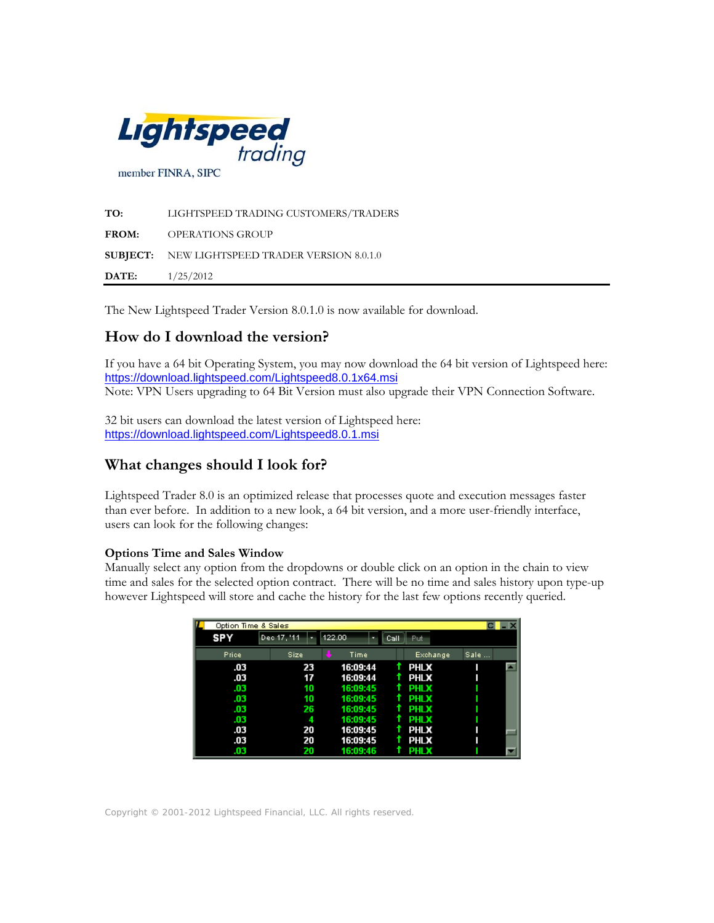

**TO:** LIGHTSPEED TRADING CUSTOMERS/TRADERS **FROM:** OPERATIONS GROUP **SUBJECT:** NEW LIGHTSPEED TRADER VERSION 8.0.1.0 **DATE:** 1/25/2012

The New Lightspeed Trader Version 8.0.1.0 is now available for download.

# **How do I download the version?**

If you have a 64 bit Operating System, you may now download the 64 bit version of Lightspeed here: <https://download.lightspeed.com/Lightspeed8.0.1x64.msi> Note: VPN Users upgrading to 64 Bit Version must also upgrade their VPN Connection Software.

32 bit users can download the latest version of Lightspeed here: <https://download.lightspeed.com/Lightspeed8.0.1.msi>

## **What changes should I look for?**

Lightspeed Trader 8.0 is an optimized release that processes quote and execution messages faster than ever before. In addition to a new look, a 64 bit version, and a more user-friendly interface, users can look for the following changes:

## **Options Time and Sales Window**

Manually select any option from the dropdowns or double click on an option in the chain to view time and sales for the selected option contract. There will be no time and sales history upon type-up however Lightspeed will store and cache the history for the last few options recently queried.

| Option Time & Sales |             |          |             |      |
|---------------------|-------------|----------|-------------|------|
| <b>SPY</b>          | Dec 17, '11 | 122.00   | Call<br>Put |      |
| Price               | Size        | Time     | Exchange    | Sale |
| .03                 | 23          | 16:09:44 | <b>PHLX</b> |      |
| .03                 | 17          | 16:09:44 | <b>PHLX</b> |      |
| .03                 | 10          | 16:09:45 | <b>PHLX</b> |      |
| .03                 | 10          | 16:09:45 | <b>PHLX</b> |      |
| .03                 | 26          | 16:09:45 | <b>PHLX</b> |      |
| .03                 | 4           | 16:09:45 | <b>PHLX</b> |      |
| .03                 | 20          | 16:09:45 | PHLX        |      |
| .03                 | 20          | 16:09:45 | <b>PHLX</b> |      |
| .03                 | 20          | 16:09:46 | <b>PHLX</b> |      |

Copyright © 2001-2012 Lightspeed Financial, LLC. All rights reserved.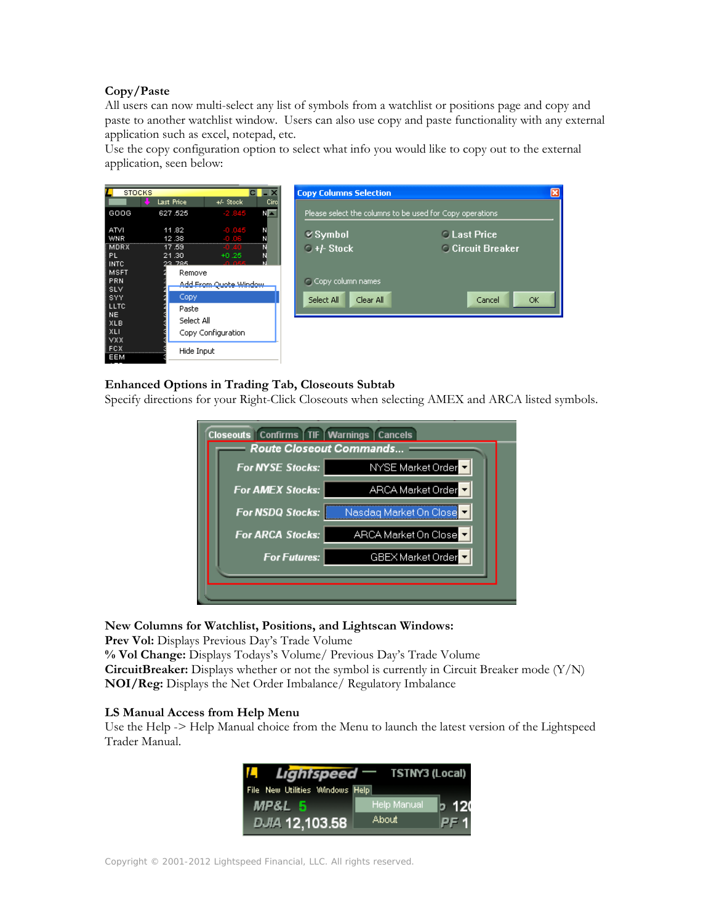### **Copy/Paste**

All users can now multi-select any list of symbols from a watchlist or positions page and copy and paste to another watchlist window. Users can also use copy and paste functionality with any external application such as excel, notepad, etc.

Use the copy configuration option to select what info you would like to copy out to the external application, seen below:



## **Enhanced Options in Trading Tab, Closeouts Subtab**

Specify directions for your Right-Click Closeouts when selecting AMEX and ARCA listed symbols.

| Closeouts   Confirms   TIF   Warnings   Cancels |                         |  |  |  |  |  |
|-------------------------------------------------|-------------------------|--|--|--|--|--|
| Route Closeout Commands                         |                         |  |  |  |  |  |
| <b>For NYSE Stocks:</b>                         | NYSE Market Order       |  |  |  |  |  |
| <b>For AMEX Stocks:</b>                         | ARCA Market Order       |  |  |  |  |  |
| <b>For NSDQ Stocks:</b>                         | Nasdag Market On Closel |  |  |  |  |  |
| <b>For ARCA Stocks:</b>                         | ARCA Market On Close    |  |  |  |  |  |
| <b>For Futures:</b>                             | GBEX Market Order       |  |  |  |  |  |
|                                                 |                         |  |  |  |  |  |
|                                                 |                         |  |  |  |  |  |

**New Columns for Watchlist, Positions, and Lightscan Windows:** 

Prev Vol: Displays Previous Day's Trade Volume

**% Vol Change:** Displays Todays's Volume/ Previous Day's Trade Volume **CircuitBreaker:** Displays whether or not the symbol is currently in Circuit Breaker mode (Y/N) **NOI/Reg:** Displays the Net Order Imbalance/ Regulatory Imbalance

#### **LS Manual Access from Help Menu**

Use the Help -> Help Manual choice from the Menu to launch the latest version of the Lightspeed Trader Manual.

|                                 | <b>Lightspeed</b> – TSTNY3 (Local) |
|---------------------------------|------------------------------------|
| File New Utilities Windows Help |                                    |
| MP&L 5                          | Help Manual<br>b 120               |
| DJIA 12,103.58                  | About<br>PF 1                      |

Copyright © 2001-2012 Lightspeed Financial, LLC. All rights reserved.